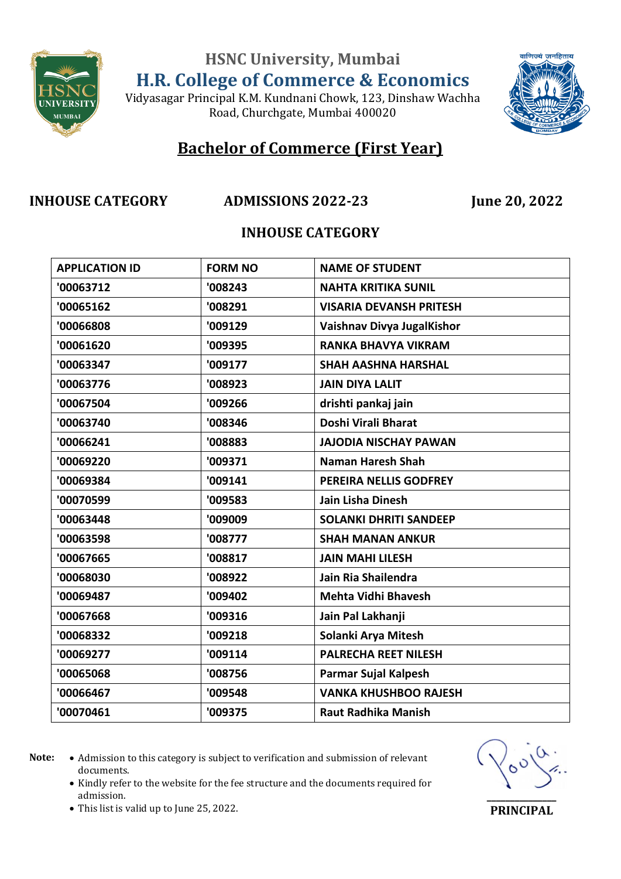

**HSNC University, Mumbai**

**H.R. College of Commerce & Economics**

Vidyasagar Principal K.M. Kundnani Chowk, 123, Dinshaw Wachha Road, Churchgate, Mumbai 400020



## **Bachelor of Commerce (First Year)**

### **INHOUSE CATEGORY ADMISSIONS 2022-23 June 20, 2022**

### **INHOUSE CATEGORY**

| <b>APPLICATION ID</b> | <b>FORM NO</b> | <b>NAME OF STUDENT</b>         |
|-----------------------|----------------|--------------------------------|
| '00063712             | '008243        | <b>NAHTA KRITIKA SUNIL</b>     |
| '00065162             | '008291        | <b>VISARIA DEVANSH PRITESH</b> |
| '00066808             | '009129        | Vaishnav Divya JugalKishor     |
| '00061620             | '009395        | <b>RANKA BHAVYA VIKRAM</b>     |
| '00063347             | '009177        | <b>SHAH AASHNA HARSHAL</b>     |
| '00063776             | '008923        | <b>JAIN DIYA LALIT</b>         |
| '00067504             | '009266        | drishti pankaj jain            |
| '00063740             | '008346        | Doshi Virali Bharat            |
| '00066241             | '008883        | <b>JAJODIA NISCHAY PAWAN</b>   |
| '00069220             | '009371        | <b>Naman Haresh Shah</b>       |
| '00069384             | '009141        | PEREIRA NELLIS GODFREY         |
| '00070599             | '009583        | Jain Lisha Dinesh              |
| '00063448             | '009009        | <b>SOLANKI DHRITI SANDEEP</b>  |
| '00063598             | '008777        | <b>SHAH MANAN ANKUR</b>        |
| '00067665             | '008817        | <b>JAIN MAHI LILESH</b>        |
| '00068030             | '008922        | Jain Ria Shailendra            |
| '00069487             | '009402        | <b>Mehta Vidhi Bhavesh</b>     |
| '00067668             | '009316        | Jain Pal Lakhanji              |
| '00068332             | '009218        | Solanki Arya Mitesh            |
| '00069277             | '009114        | <b>PALRECHA REET NILESH</b>    |
| '00065068             | '008756        | Parmar Sujal Kalpesh           |
| '00066467             | '009548        | <b>VANKA KHUSHBOO RAJESH</b>   |
| '00070461             | '009375        | <b>Raut Radhika Manish</b>     |

Note:  $\bullet$  Admission to this category is subject to verification and submission of relevant documents.

• Kindly refer to the website for the fee structure and the documents required for admission.



This list is valid up to June 25, 2022.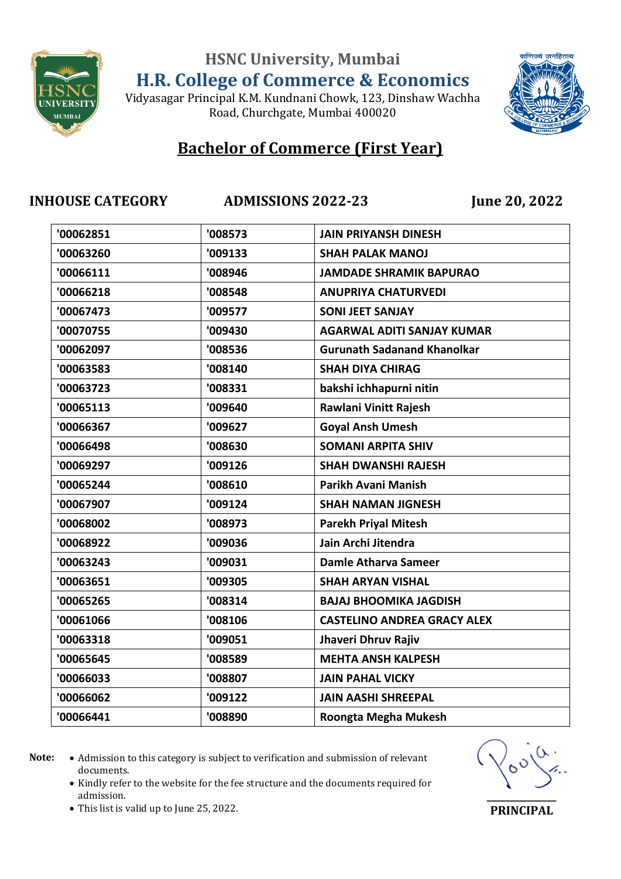

### Vidyasagar Principal K.M. Kundnani Chowk, 123, Dinshaw Wachha Road, Churchgate, Mumbai 400020

## **Bachelor of Commerce (First Year)**

**INHOUSE CATEGORY ADMISSIONS 2022-23 June 20, 2022**

वाणिज्यं जनहिताय

| '00062851 | '008573 | <b>JAIN PRIYANSH DINESH</b>        |
|-----------|---------|------------------------------------|
| '00063260 | '009133 | <b>SHAH PALAK MANOJ</b>            |
| '00066111 | '008946 | <b>JAMDADE SHRAMIK BAPURAO</b>     |
| '00066218 | '008548 | <b>ANUPRIYA CHATURVEDI</b>         |
| '00067473 | '009577 | <b>SONI JEET SANJAY</b>            |
| '00070755 | '009430 | <b>AGARWAL ADITI SANJAY KUMAR</b>  |
| '00062097 | '008536 | <b>Gurunath Sadanand Khanolkar</b> |
| '00063583 | '008140 | <b>SHAH DIYA CHIRAG</b>            |
| '00063723 | '008331 | bakshi ichhapurni nitin            |
| '00065113 | '009640 | Rawlani Vinitt Rajesh              |
| '00066367 | '009627 | <b>Goyal Ansh Umesh</b>            |
| '00066498 | '008630 | <b>SOMANI ARPITA SHIV</b>          |
| '00069297 | '009126 | <b>SHAH DWANSHI RAJESH</b>         |
| '00065244 | '008610 | Parikh Avani Manish                |
| '00067907 | '009124 | <b>SHAH NAMAN JIGNESH</b>          |
| '00068002 | '008973 | <b>Parekh Priyal Mitesh</b>        |
| '00068922 | '009036 | Jain Archi Jitendra                |
| '00063243 | '009031 | <b>Damle Atharva Sameer</b>        |
| '00063651 | '009305 | <b>SHAH ARYAN VISHAL</b>           |
| '00065265 | '008314 | <b>BAJAJ BHOOMIKA JAGDISH</b>      |
| '00061066 | '008106 | <b>CASTELINO ANDREA GRACY ALEX</b> |
| '00063318 | '009051 | Jhaveri Dhruv Rajiv                |
| '00065645 | '008589 | <b>MEHTA ANSH KALPESH</b>          |
| '00066033 | '008807 | <b>JAIN PAHAL VICKY</b>            |
| '00066062 | '009122 | <b>JAIN AASHI SHREEPAL</b>         |
| '00066441 | '008890 | Roongta Megha Mukesh               |
|           |         |                                    |

Note:  $\bullet$  Admission to this category is subject to verification and submission of relevant documents.

• Kindly refer to the website for the fee structure and the documents required for admission.



This list is valid up to June 25, 2022.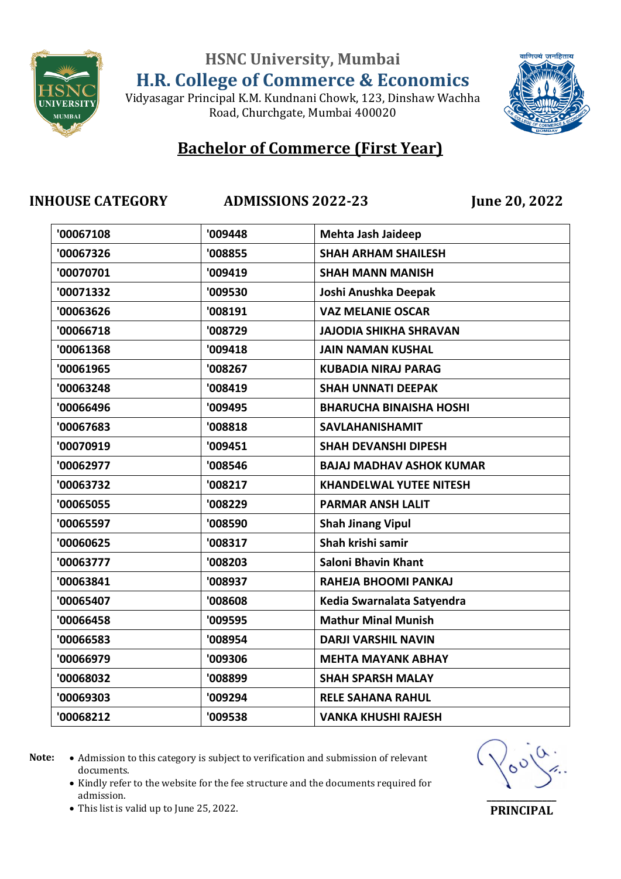

Vidyasagar Principal K.M. Kundnani Chowk, 123, Dinshaw Wachha

Road, Churchgate, Mumbai 400020



## **Bachelor of Commerce (First Year)**

**INHOUSE CATEGORY ADMISSIONS 2022-23 June 20, 2022**

| '00067108 | '009448 | Mehta Jash Jaideep              |
|-----------|---------|---------------------------------|
| '00067326 | '008855 | <b>SHAH ARHAM SHAILESH</b>      |
| '00070701 | '009419 | <b>SHAH MANN MANISH</b>         |
| '00071332 | '009530 | Joshi Anushka Deepak            |
| '00063626 | '008191 | <b>VAZ MELANIE OSCAR</b>        |
| '00066718 | '008729 | <b>JAJODIA SHIKHA SHRAVAN</b>   |
| '00061368 | '009418 | <b>JAIN NAMAN KUSHAL</b>        |
| '00061965 | '008267 | <b>KUBADIA NIRAJ PARAG</b>      |
| '00063248 | '008419 | <b>SHAH UNNATI DEEPAK</b>       |
| '00066496 | '009495 | <b>BHARUCHA BINAISHA HOSHI</b>  |
| '00067683 | '008818 | <b>SAVLAHANISHAMIT</b>          |
| '00070919 | '009451 | <b>SHAH DEVANSHI DIPESH</b>     |
| '00062977 | '008546 | <b>BAJAJ MADHAV ASHOK KUMAR</b> |
| '00063732 | '008217 | <b>KHANDELWAL YUTEE NITESH</b>  |
| '00065055 | '008229 | <b>PARMAR ANSH LALIT</b>        |
| '00065597 | '008590 | <b>Shah Jinang Vipul</b>        |
| '00060625 | '008317 | Shah krishi samir               |
| '00063777 | '008203 | <b>Saloni Bhavin Khant</b>      |
| '00063841 | '008937 | RAHEJA BHOOMI PANKAJ            |
| '00065407 | '008608 | Kedia Swarnalata Satyendra      |
| '00066458 | '009595 | <b>Mathur Minal Munish</b>      |
| '00066583 | '008954 | <b>DARJI VARSHIL NAVIN</b>      |
| '00066979 | '009306 | <b>MEHTA MAYANK ABHAY</b>       |
| '00068032 | '008899 | <b>SHAH SPARSH MALAY</b>        |
| '00069303 | '009294 | <b>RELE SAHANA RAHUL</b>        |
| '00068212 | '009538 | <b>VANKA KHUSHI RAJESH</b>      |
|           |         |                                 |

- Note:  $\bullet$  Admission to this category is subject to verification and submission of relevant documents.
	- Kindly refer to the website for the fee structure and the documents required for admission.



This list is valid up to June 25, 2022.

**\_\_\_\_\_\_\_\_\_\_\_\_\_\_\_ PRINCIPAL**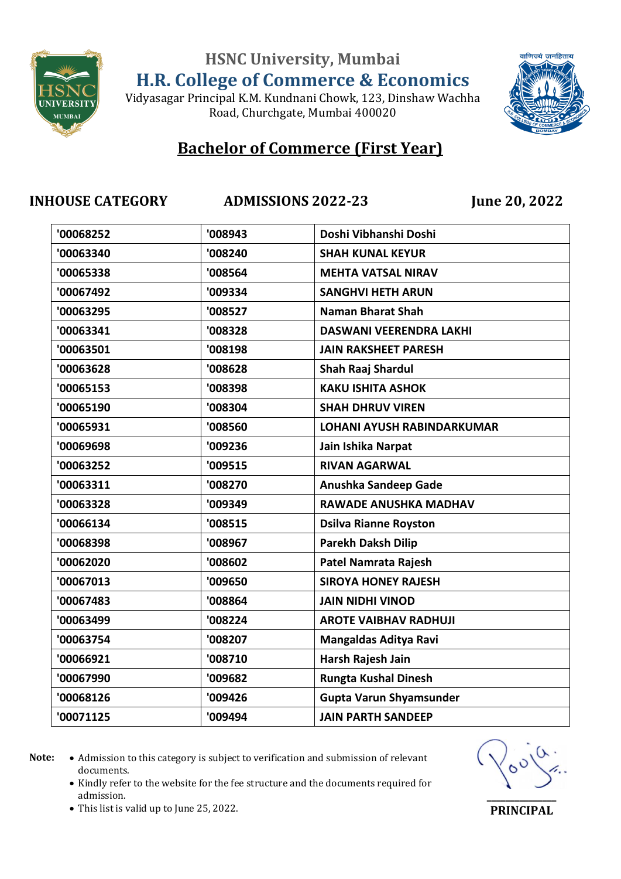

Vidyasagar Principal K.M. Kundnani Chowk, 123, Dinshaw Wachha Road, Churchgate, Mumbai 400020



## **Bachelor of Commerce (First Year)**

**INHOUSE CATEGORY ADMISSIONS 2022-23 June 20, 2022**

| '00068252 | '008943 | Doshi Vibhanshi Doshi             |
|-----------|---------|-----------------------------------|
| '00063340 | '008240 | <b>SHAH KUNAL KEYUR</b>           |
| '00065338 | '008564 | <b>MEHTA VATSAL NIRAV</b>         |
| '00067492 | '009334 | <b>SANGHVI HETH ARUN</b>          |
| '00063295 | '008527 | <b>Naman Bharat Shah</b>          |
| '00063341 | '008328 | <b>DASWANI VEERENDRA LAKHI</b>    |
| '00063501 | '008198 | <b>JAIN RAKSHEET PARESH</b>       |
| '00063628 | '008628 | <b>Shah Raaj Shardul</b>          |
| '00065153 | '008398 | <b>KAKU ISHITA ASHOK</b>          |
| '00065190 | '008304 | <b>SHAH DHRUV VIREN</b>           |
| '00065931 | '008560 | <b>LOHANI AYUSH RABINDARKUMAR</b> |
| '00069698 | '009236 | Jain Ishika Narpat                |
| '00063252 | '009515 | <b>RIVAN AGARWAL</b>              |
| '00063311 | '008270 | Anushka Sandeep Gade              |
| '00063328 | '009349 | <b>RAWADE ANUSHKA MADHAV</b>      |
| '00066134 | '008515 | <b>Dsilva Rianne Royston</b>      |
| '00068398 | '008967 | <b>Parekh Daksh Dilip</b>         |
| '00062020 | '008602 | <b>Patel Namrata Rajesh</b>       |
| '00067013 | '009650 | <b>SIROYA HONEY RAJESH</b>        |
| '00067483 | '008864 | <b>JAIN NIDHI VINOD</b>           |
| '00063499 | '008224 | <b>AROTE VAIBHAV RADHUJI</b>      |
| '00063754 | '008207 | Mangaldas Aditya Ravi             |
| '00066921 | '008710 | Harsh Rajesh Jain                 |
| '00067990 | '009682 | <b>Rungta Kushal Dinesh</b>       |
| '00068126 | '009426 | <b>Gupta Varun Shyamsunder</b>    |
| '00071125 | '009494 | <b>JAIN PARTH SANDEEP</b>         |
|           |         |                                   |

- Note:  $\bullet$  Admission to this category is subject to verification and submission of relevant documents.
	- Kindly refer to the website for the fee structure and the documents required for admission.



This list is valid up to June 25, 2022.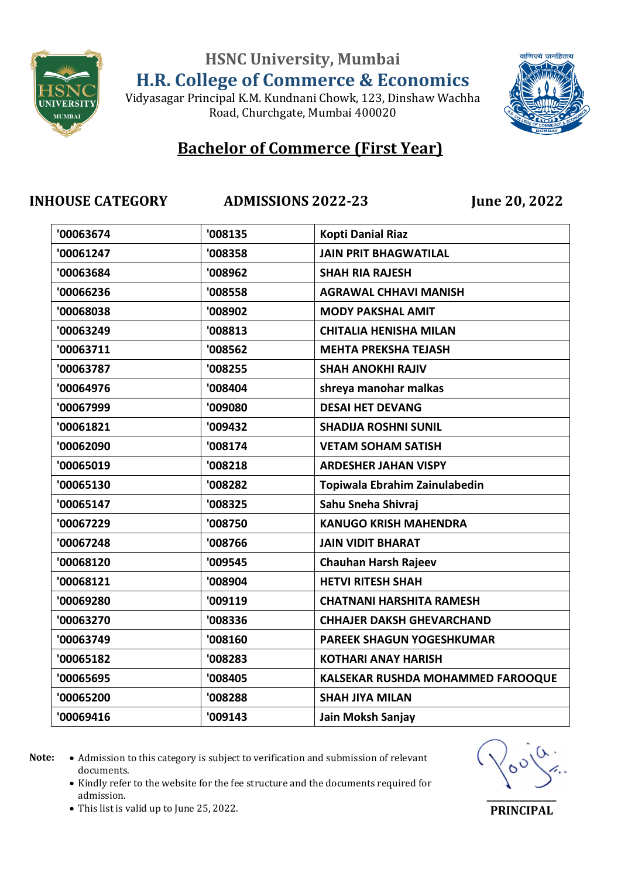

### Vidyasagar Principal K.M. Kundnani Chowk, 123, Dinshaw Wachha Road, Churchgate, Mumbai 400020

## **Bachelor of Commerce (First Year)**

**INHOUSE CATEGORY ADMISSIONS 2022-23 June 20, 2022**

वाणिज्यं जनहिताय

| '00063674 | '008135 | <b>Kopti Danial Riaz</b>          |
|-----------|---------|-----------------------------------|
| '00061247 | '008358 | <b>JAIN PRIT BHAGWATILAL</b>      |
| '00063684 | '008962 | <b>SHAH RIA RAJESH</b>            |
| '00066236 | '008558 | <b>AGRAWAL CHHAVI MANISH</b>      |
| '00068038 | '008902 | <b>MODY PAKSHAL AMIT</b>          |
| '00063249 | '008813 | <b>CHITALIA HENISHA MILAN</b>     |
| '00063711 | '008562 | <b>MEHTA PREKSHA TEJASH</b>       |
| '00063787 | '008255 | <b>SHAH ANOKHI RAJIV</b>          |
| '00064976 | '008404 | shreya manohar malkas             |
| '00067999 | '009080 | <b>DESAI HET DEVANG</b>           |
| '00061821 | '009432 | <b>SHADIJA ROSHNI SUNIL</b>       |
| '00062090 | '008174 | <b>VETAM SOHAM SATISH</b>         |
| '00065019 | '008218 | <b>ARDESHER JAHAN VISPY</b>       |
| '00065130 | '008282 | Topiwala Ebrahim Zainulabedin     |
| '00065147 | '008325 | Sahu Sneha Shivraj                |
| '00067229 | '008750 | <b>KANUGO KRISH MAHENDRA</b>      |
| '00067248 | '008766 | <b>JAIN VIDIT BHARAT</b>          |
| '00068120 | '009545 | <b>Chauhan Harsh Rajeev</b>       |
| '00068121 | '008904 | <b>HETVI RITESH SHAH</b>          |
| '00069280 | '009119 | <b>CHATNANI HARSHITA RAMESH</b>   |
| '00063270 | '008336 | <b>CHHAJER DAKSH GHEVARCHAND</b>  |
| '00063749 | '008160 | <b>PAREEK SHAGUN YOGESHKUMAR</b>  |
| '00065182 | '008283 | <b>KOTHARI ANAY HARISH</b>        |
| '00065695 | '008405 | KALSEKAR RUSHDA MOHAMMED FAROOQUE |
| '00065200 | '008288 | <b>SHAH JIYA MILAN</b>            |
| '00069416 | '009143 | Jain Moksh Sanjay                 |
|           |         |                                   |

Note:  $\bullet$  Admission to this category is subject to verification and submission of relevant documents.

• Kindly refer to the website for the fee structure and the documents required for admission.



This list is valid up to June 25, 2022.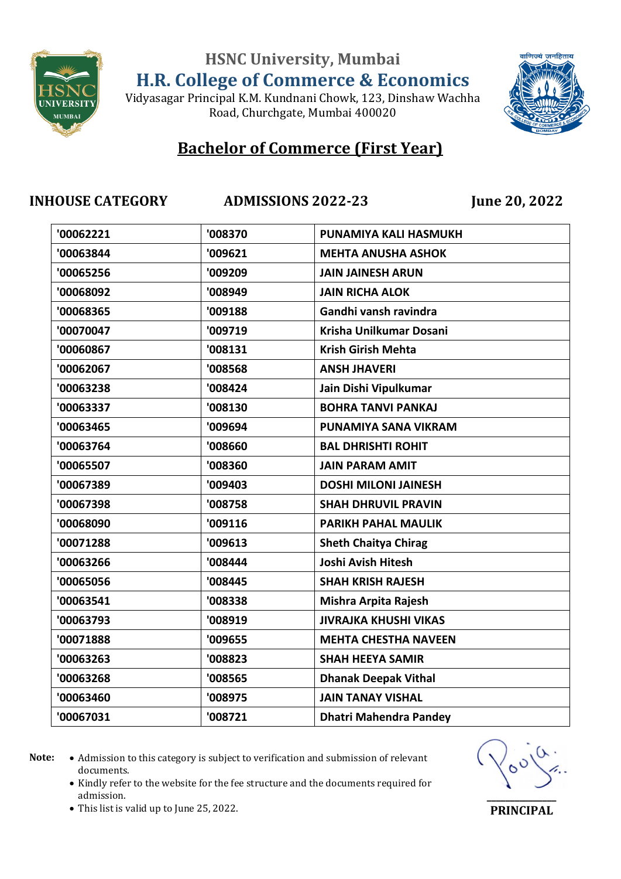

Vidyasagar Principal K.M. Kundnani Chowk, 123, Dinshaw Wachha Road, Churchgate, Mumbai 400020



## **Bachelor of Commerce (First Year)**

**INHOUSE CATEGORY ADMISSIONS 2022-23 June 20, 2022**

| '00062221 | '008370 | PUNAMIYA KALI HASMUKH         |
|-----------|---------|-------------------------------|
| '00063844 | '009621 | <b>MEHTA ANUSHA ASHOK</b>     |
| '00065256 | '009209 | <b>JAIN JAINESH ARUN</b>      |
| '00068092 | '008949 | <b>JAIN RICHA ALOK</b>        |
| '00068365 | '009188 | Gandhi vansh ravindra         |
| '00070047 | '009719 | Krisha Unilkumar Dosani       |
| '00060867 | '008131 | <b>Krish Girish Mehta</b>     |
| '00062067 | '008568 | <b>ANSH JHAVERI</b>           |
| '00063238 | '008424 | Jain Dishi Vipulkumar         |
| '00063337 | '008130 | <b>BOHRA TANVI PANKAJ</b>     |
| '00063465 | '009694 | PUNAMIYA SANA VIKRAM          |
| '00063764 | '008660 | <b>BAL DHRISHTI ROHIT</b>     |
| '00065507 | '008360 | <b>JAIN PARAM AMIT</b>        |
| '00067389 | '009403 | <b>DOSHI MILONI JAINESH</b>   |
| '00067398 | '008758 | <b>SHAH DHRUVIL PRAVIN</b>    |
| '00068090 | '009116 | <b>PARIKH PAHAL MAULIK</b>    |
| '00071288 | '009613 | <b>Sheth Chaitya Chirag</b>   |
| '00063266 | '008444 | <b>Joshi Avish Hitesh</b>     |
| '00065056 | '008445 | <b>SHAH KRISH RAJESH</b>      |
| '00063541 | '008338 | Mishra Arpita Rajesh          |
| '00063793 | '008919 | <b>JIVRAJKA KHUSHI VIKAS</b>  |
| '00071888 | '009655 | <b>MEHTA CHESTHA NAVEEN</b>   |
| '00063263 | '008823 | <b>SHAH HEEYA SAMIR</b>       |
| '00063268 | '008565 | <b>Dhanak Deepak Vithal</b>   |
| '00063460 | '008975 | <b>JAIN TANAY VISHAL</b>      |
| '00067031 | '008721 | <b>Dhatri Mahendra Pandey</b> |
|           |         |                               |

- Note:  $\bullet$  Admission to this category is subject to verification and submission of relevant documents.
	- Kindly refer to the website for the fee structure and the documents required for admission.



**PRINCIPAL**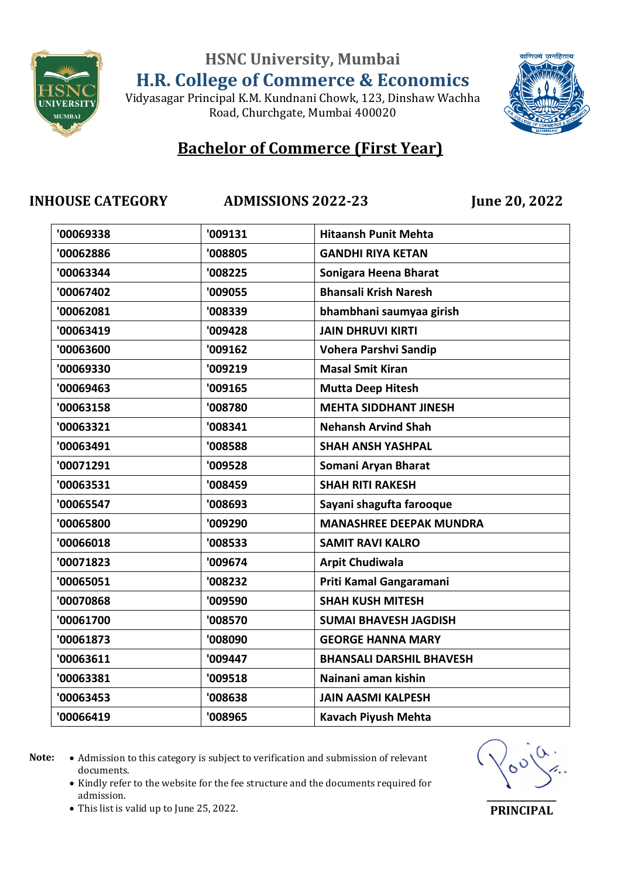

Vidyasagar Principal K.M. Kundnani Chowk, 123, Dinshaw Wachha Road, Churchgate, Mumbai 400020



## **Bachelor of Commerce (First Year)**

**INHOUSE CATEGORY ADMISSIONS 2022-23 June 20, 2022**

| '009131 | <b>Hitaansh Punit Mehta</b>     |
|---------|---------------------------------|
| '008805 | <b>GANDHI RIYA KETAN</b>        |
| '008225 | Sonigara Heena Bharat           |
| '009055 | <b>Bhansali Krish Naresh</b>    |
| '008339 | bhambhani saumyaa girish        |
| '009428 | <b>JAIN DHRUVI KIRTI</b>        |
| '009162 | <b>Vohera Parshvi Sandip</b>    |
| '009219 | <b>Masal Smit Kiran</b>         |
| '009165 | <b>Mutta Deep Hitesh</b>        |
| '008780 | <b>MEHTA SIDDHANT JINESH</b>    |
| '008341 | <b>Nehansh Arvind Shah</b>      |
| '008588 | <b>SHAH ANSH YASHPAL</b>        |
| '009528 | Somani Aryan Bharat             |
| '008459 | <b>SHAH RITI RAKESH</b>         |
| '008693 | Sayani shagufta farooque        |
| '009290 | <b>MANASHREE DEEPAK MUNDRA</b>  |
| '008533 | <b>SAMIT RAVI KALRO</b>         |
| '009674 | <b>Arpit Chudiwala</b>          |
| '008232 | Priti Kamal Gangaramani         |
| '009590 | <b>SHAH KUSH MITESH</b>         |
| '008570 | <b>SUMAI BHAVESH JAGDISH</b>    |
| '008090 | <b>GEORGE HANNA MARY</b>        |
| '009447 | <b>BHANSALI DARSHIL BHAVESH</b> |
| '009518 | Nainani aman kishin             |
| '008638 | <b>JAIN AASMI KALPESH</b>       |
| '008965 | <b>Kavach Piyush Mehta</b>      |
|         |                                 |

Note:  $\bullet$  Admission to this category is subject to verification and submission of relevant documents.

• Kindly refer to the website for the fee structure and the documents required for admission.



**PRINCIPAL**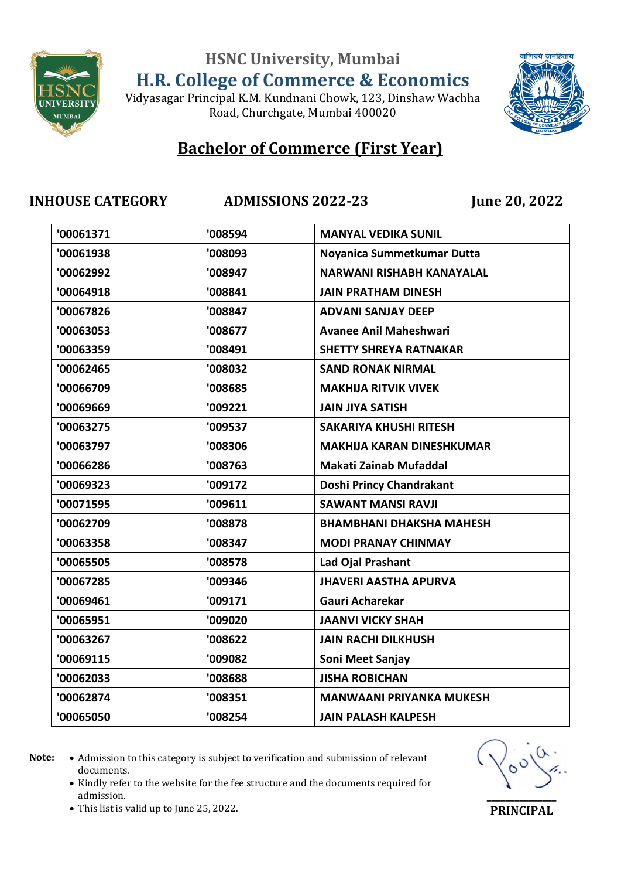

वाणिज्यं जनहिताय

### Vidyasagar Principal K.M. Kundnani Chowk, 123, Dinshaw Wachha Road, Churchgate, Mumbai 400020

## **Bachelor of Commerce (First Year)**

**INHOUSE CATEGORY ADMISSIONS 2022-23 June 20, 2022**

| '00061371 | '008594 | <b>MANYAL VEDIKA SUNIL</b>       |
|-----------|---------|----------------------------------|
| '00061938 | '008093 | Noyanica Summetkumar Dutta       |
| '00062992 | '008947 | <b>NARWANI RISHABH KANAYALAL</b> |
| '00064918 | '008841 | <b>JAIN PRATHAM DINESH</b>       |
| '00067826 | '008847 | <b>ADVANI SANJAY DEEP</b>        |
| '00063053 | '008677 | <b>Avanee Anil Maheshwari</b>    |
| '00063359 | '008491 | <b>SHETTY SHREYA RATNAKAR</b>    |
| '00062465 | '008032 | <b>SAND RONAK NIRMAL</b>         |
| '00066709 | '008685 | <b>MAKHIJA RITVIK VIVEK</b>      |
| '00069669 | '009221 | <b>JAIN JIYA SATISH</b>          |
| '00063275 | '009537 | <b>SAKARIYA KHUSHI RITESH</b>    |
| '00063797 | '008306 | <b>MAKHIJA KARAN DINESHKUMAR</b> |
| '00066286 | '008763 | Makati Zainab Mufaddal           |
| '00069323 | '009172 | Doshi Princy Chandrakant         |
| '00071595 | '009611 | <b>SAWANT MANSI RAVJI</b>        |
| '00062709 | '008878 | <b>BHAMBHANI DHAKSHA MAHESH</b>  |
| '00063358 | '008347 | <b>MODI PRANAY CHINMAY</b>       |
| '00065505 | '008578 | Lad Ojal Prashant                |
| '00067285 | '009346 | <b>JHAVERI AASTHA APURVA</b>     |
| '00069461 | '009171 | Gauri Acharekar                  |
| '00065951 | '009020 | <b>JAANVI VICKY SHAH</b>         |
| '00063267 | '008622 | <b>JAIN RACHI DILKHUSH</b>       |
| '00069115 | '009082 | Soni Meet Sanjay                 |
| '00062033 | '008688 | <b>JISHA ROBICHAN</b>            |
| '00062874 | '008351 | <b>MANWAANI PRIYANKA MUKESH</b>  |
| '00065050 | '008254 | <b>JAIN PALASH KALPESH</b>       |
|           |         |                                  |

Note:  $\bullet$  Admission to this category is subject to verification and submission of relevant documents.

• Kindly refer to the website for the fee structure and the documents required for admission.



This list is valid up to June 25, 2022.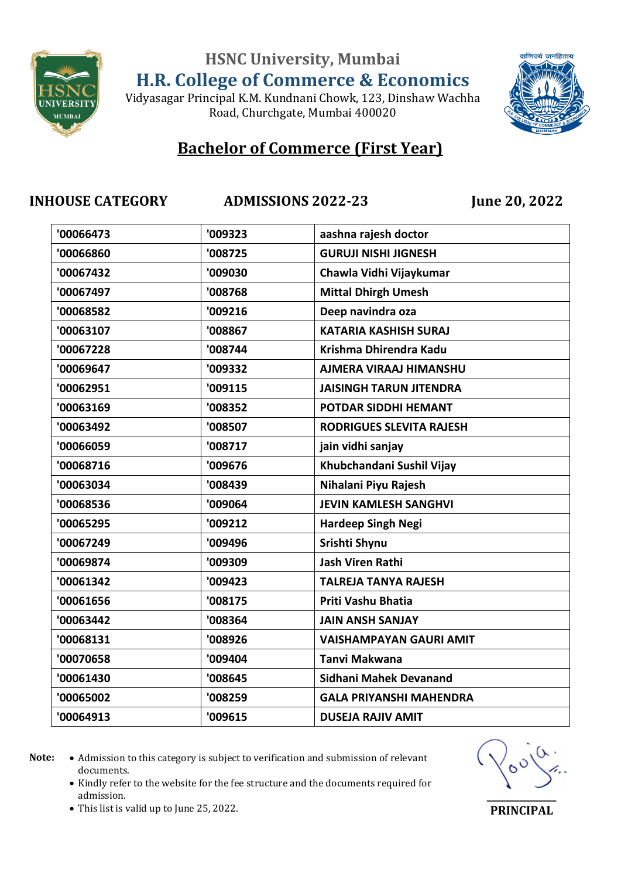

वाणिज्यं जनहिताय

### Vidyasagar Principal K.M. Kundnani Chowk, 123, Dinshaw Wachha Road, Churchgate, Mumbai 400020

# **Bachelor of Commerce (First Year)**

### **INHOUSE CATEGORY ADMISSIONS 2022-23 June 20, 2022**

| '00066473 | '009323 | aashna rajesh doctor            |
|-----------|---------|---------------------------------|
| '00066860 | '008725 | <b>GURUJI NISHI JIGNESH</b>     |
| '00067432 | '009030 | Chawla Vidhi Vijaykumar         |
| '00067497 | '008768 | <b>Mittal Dhirgh Umesh</b>      |
| '00068582 | '009216 | Deep navindra oza               |
| '00063107 | '008867 | <b>KATARIA KASHISH SURAJ</b>    |
| '00067228 | '008744 | Krishma Dhirendra Kadu          |
| '00069647 | '009332 | <b>AJMERA VIRAAJ HIMANSHU</b>   |
| '00062951 | '009115 | <b>JAISINGH TARUN JITENDRA</b>  |
| '00063169 | '008352 | POTDAR SIDDHI HEMANT            |
| '00063492 | '008507 | <b>RODRIGUES SLEVITA RAJESH</b> |
| '00066059 | '008717 | jain vidhi sanjay               |
| '00068716 | '009676 | Khubchandani Sushil Vijay       |
| '00063034 | '008439 | Nihalani Piyu Rajesh            |
| '00068536 | '009064 | <b>JEVIN KAMLESH SANGHVI</b>    |
| '00065295 | '009212 | <b>Hardeep Singh Negi</b>       |
| '00067249 | '009496 | Srishti Shynu                   |
| '00069874 | '009309 | <b>Jash Viren Rathi</b>         |
| '00061342 | '009423 | <b>TALREJA TANYA RAJESH</b>     |
| '00061656 | '008175 | Priti Vashu Bhatia              |
| '00063442 | '008364 | <b>JAIN ANSH SANJAY</b>         |
| '00068131 | '008926 | <b>VAISHAMPAYAN GAURI AMIT</b>  |
| '00070658 | '009404 | Tanvi Makwana                   |
| '00061430 | '008645 | <b>Sidhani Mahek Devanand</b>   |
| '00065002 | '008259 | <b>GALA PRIYANSHI MAHENDRA</b>  |
| '00064913 | '009615 | <b>DUSEJA RAJIV AMIT</b>        |
|           |         |                                 |

Note:  $\bullet$  Admission to this category is subject to verification and submission of relevant documents.

• Kindly refer to the website for the fee structure and the documents required for admission.



This list is valid up to June 25, 2022.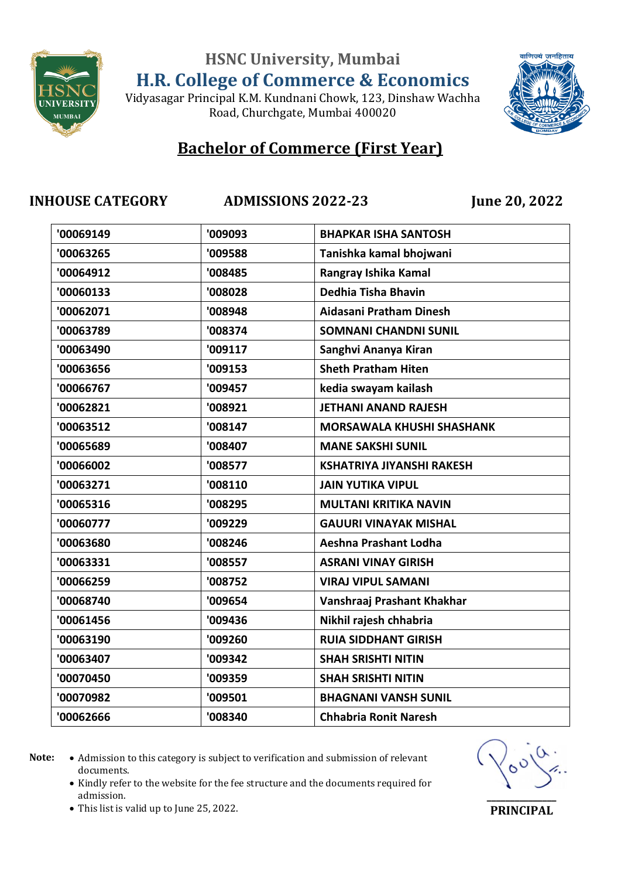

Vidyasagar Principal K.M. Kundnani Chowk, 123, Dinshaw Wachha Road, Churchgate, Mumbai 400020



## **Bachelor of Commerce (First Year)**

**INHOUSE CATEGORY ADMISSIONS 2022-23 June 20, 2022**

| '00069149 | '009093 | <b>BHAPKAR ISHA SANTOSH</b>      |
|-----------|---------|----------------------------------|
| '00063265 | '009588 | Tanishka kamal bhojwani          |
| '00064912 | '008485 | Rangray Ishika Kamal             |
| '00060133 | '008028 | Dedhia Tisha Bhavin              |
| '00062071 | '008948 | Aidasani Pratham Dinesh          |
| '00063789 | '008374 | <b>SOMNANI CHANDNI SUNIL</b>     |
| '00063490 | '009117 | Sanghvi Ananya Kiran             |
| '00063656 | '009153 | <b>Sheth Pratham Hiten</b>       |
| '00066767 | '009457 | kedia swayam kailash             |
| '00062821 | '008921 | <b>JETHANI ANAND RAJESH</b>      |
| '00063512 | '008147 | <b>MORSAWALA KHUSHI SHASHANK</b> |
| '00065689 | '008407 | <b>MANE SAKSHI SUNIL</b>         |
| '00066002 | '008577 | <b>KSHATRIYA JIYANSHI RAKESH</b> |
| '00063271 | '008110 | <b>JAIN YUTIKA VIPUL</b>         |
| '00065316 | '008295 | <b>MULTANI KRITIKA NAVIN</b>     |
| '00060777 | '009229 | <b>GAUURI VINAYAK MISHAL</b>     |
| '00063680 | '008246 | Aeshna Prashant Lodha            |
| '00063331 | '008557 | <b>ASRANI VINAY GIRISH</b>       |
| '00066259 | '008752 | <b>VIRAJ VIPUL SAMANI</b>        |
| '00068740 | '009654 | Vanshraaj Prashant Khakhar       |
| '00061456 | '009436 | Nikhil rajesh chhabria           |
| '00063190 | '009260 | <b>RUIA SIDDHANT GIRISH</b>      |
| '00063407 | '009342 | <b>SHAH SRISHTI NITIN</b>        |
| '00070450 | '009359 | <b>SHAH SRISHTI NITIN</b>        |
| '00070982 | '009501 | <b>BHAGNANI VANSH SUNIL</b>      |
| '00062666 | '008340 | <b>Chhabria Ronit Naresh</b>     |
|           |         |                                  |

- Note:  $\bullet$  Admission to this category is subject to verification and submission of relevant documents.
	- Kindly refer to the website for the fee structure and the documents required for admission.



**PRINCIPAL**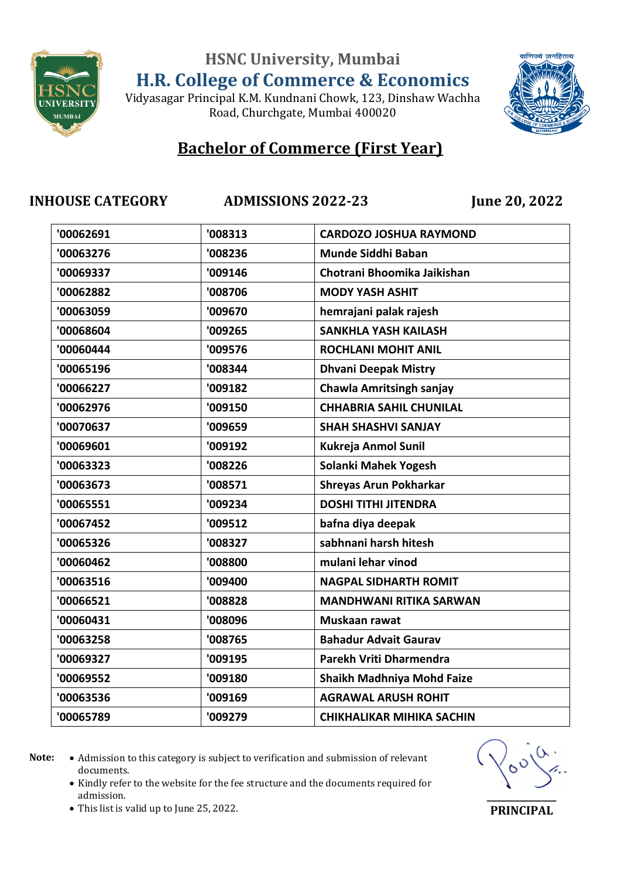

वाणिज्यं जनहिताय

### Vidyasagar Principal K.M. Kundnani Chowk, 123, Dinshaw Wachha Road, Churchgate, Mumbai 400020

## **Bachelor of Commerce (First Year)**

### **INHOUSE CATEGORY ADMISSIONS 2022-23 June 20, 2022**

| '00062691 | '008313 | <b>CARDOZO JOSHUA RAYMOND</b>    |
|-----------|---------|----------------------------------|
| '00063276 | '008236 | Munde Siddhi Baban               |
| '00069337 | '009146 | Chotrani Bhoomika Jaikishan      |
| '00062882 | '008706 | <b>MODY YASH ASHIT</b>           |
| '00063059 | '009670 | hemrajani palak rajesh           |
| '00068604 | '009265 | <b>SANKHLA YASH KAILASH</b>      |
| '00060444 | '009576 | <b>ROCHLANI MOHIT ANIL</b>       |
| '00065196 | '008344 | <b>Dhvani Deepak Mistry</b>      |
| '00066227 | '009182 | <b>Chawla Amritsingh sanjay</b>  |
| '00062976 | '009150 | <b>CHHABRIA SAHIL CHUNILAL</b>   |
| '00070637 | '009659 | <b>SHAH SHASHVI SANJAY</b>       |
| '00069601 | '009192 | <b>Kukreja Anmol Sunil</b>       |
| '00063323 | '008226 | Solanki Mahek Yogesh             |
| '00063673 | '008571 | <b>Shreyas Arun Pokharkar</b>    |
| '00065551 | '009234 | <b>DOSHI TITHI JITENDRA</b>      |
| '00067452 | '009512 | bafna diya deepak                |
| '00065326 | '008327 | sabhnani harsh hitesh            |
| '00060462 | '008800 | mulani lehar vinod               |
| '00063516 | '009400 | <b>NAGPAL SIDHARTH ROMIT</b>     |
| '00066521 | '008828 | <b>MANDHWANI RITIKA SARWAN</b>   |
| '00060431 | '008096 | Muskaan rawat                    |
| '00063258 | '008765 | <b>Bahadur Advait Gaurav</b>     |
| '00069327 | '009195 | Parekh Vriti Dharmendra          |
| '00069552 | '009180 | Shaikh Madhniya Mohd Faize       |
| '00063536 | '009169 | <b>AGRAWAL ARUSH ROHIT</b>       |
| '00065789 | '009279 | <b>CHIKHALIKAR MIHIKA SACHIN</b> |
|           |         |                                  |

Note:  $\bullet$  Admission to this category is subject to verification and submission of relevant documents.

• Kindly refer to the website for the fee structure and the documents required for admission.



This list is valid up to June 25, 2022.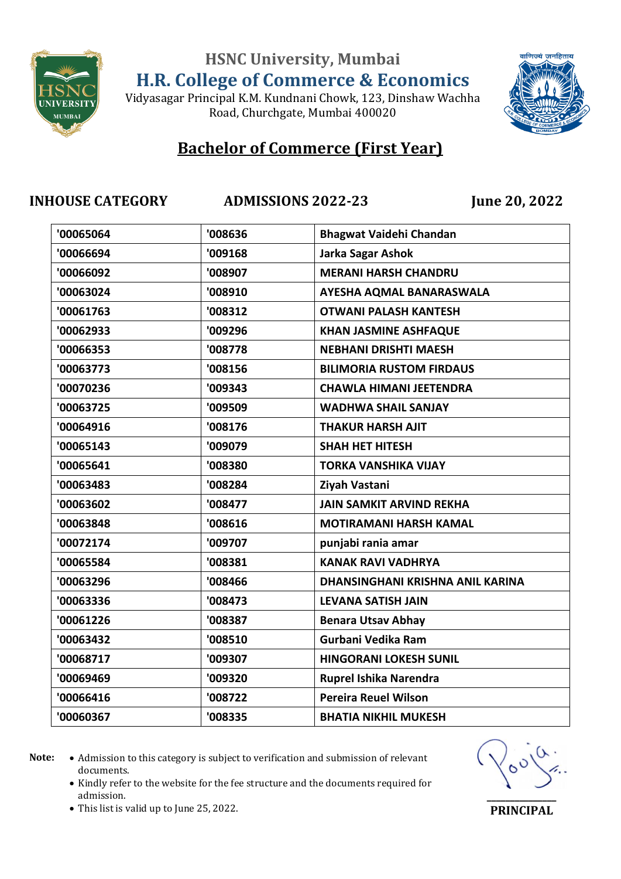

Vidyasagar Principal K.M. Kundnani Chowk, 123, Dinshaw Wachha Road, Churchgate, Mumbai 400020



## **Bachelor of Commerce (First Year)**

**INHOUSE CATEGORY ADMISSIONS 2022-23 June 20, 2022**

| '00065064 | '008636 | <b>Bhagwat Vaidehi Chandan</b>   |
|-----------|---------|----------------------------------|
| '00066694 | '009168 | Jarka Sagar Ashok                |
| '00066092 | '008907 | <b>MERANI HARSH CHANDRU</b>      |
| '00063024 | '008910 | AYESHA AQMAL BANARASWALA         |
| '00061763 | '008312 | <b>OTWANI PALASH KANTESH</b>     |
| '00062933 | '009296 | <b>KHAN JASMINE ASHFAQUE</b>     |
| '00066353 | '008778 | <b>NEBHANI DRISHTI MAESH</b>     |
| '00063773 | '008156 | <b>BILIMORIA RUSTOM FIRDAUS</b>  |
| '00070236 | '009343 | <b>CHAWLA HIMANI JEETENDRA</b>   |
| '00063725 | '009509 | <b>WADHWA SHAIL SANJAY</b>       |
| '00064916 | '008176 | <b>THAKUR HARSH AJIT</b>         |
| '00065143 | '009079 | <b>SHAH HET HITESH</b>           |
| '00065641 | '008380 | <b>TORKA VANSHIKA VIJAY</b>      |
| '00063483 | '008284 | Ziyah Vastani                    |
| '00063602 | '008477 | <b>JAIN SAMKIT ARVIND REKHA</b>  |
| '00063848 | '008616 | <b>MOTIRAMANI HARSH KAMAL</b>    |
| '00072174 | '009707 | punjabi rania amar               |
| '00065584 | '008381 | <b>KANAK RAVI VADHRYA</b>        |
| '00063296 | '008466 | DHANSINGHANI KRISHNA ANIL KARINA |
| '00063336 | '008473 | <b>LEVANA SATISH JAIN</b>        |
| '00061226 | '008387 | <b>Benara Utsav Abhay</b>        |
| '00063432 | '008510 | Gurbani Vedika Ram               |
| '00068717 | '009307 | <b>HINGORANI LOKESH SUNIL</b>    |
| '00069469 | '009320 | Ruprel Ishika Narendra           |
| '00066416 | '008722 | <b>Pereira Reuel Wilson</b>      |
| '00060367 | '008335 | <b>BHATIA NIKHIL MUKESH</b>      |
|           |         |                                  |

- Note:  $\bullet$  Admission to this category is subject to verification and submission of relevant documents.
	- Kindly refer to the website for the fee structure and the documents required for admission.



This list is valid up to June 25, 2022.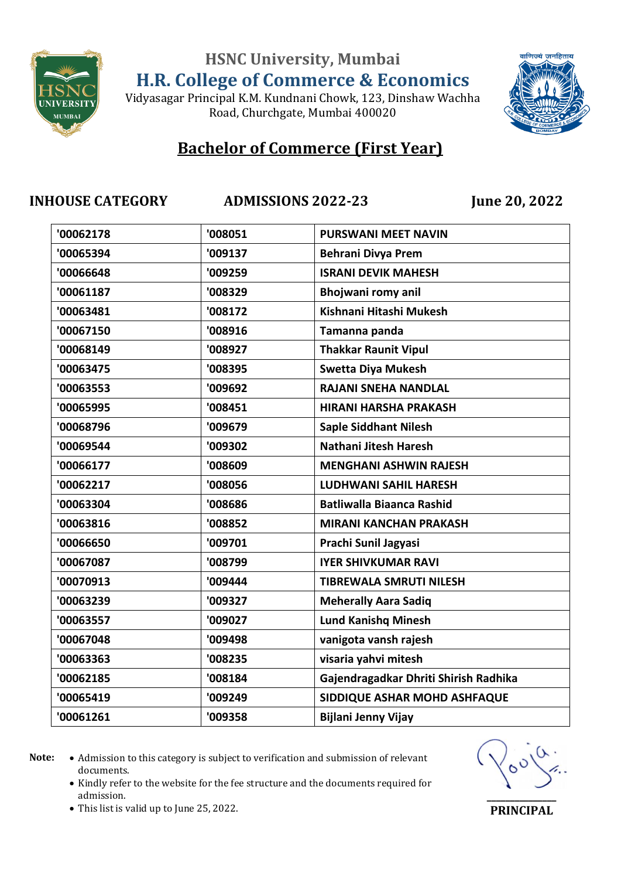

Vidyasagar Principal K.M. Kundnani Chowk, 123, Dinshaw Wachha Road, Churchgate, Mumbai 400020



## **Bachelor of Commerce (First Year)**

**INHOUSE CATEGORY ADMISSIONS 2022-23 June 20, 2022**

| '00062178 | '008051 | <b>PURSWANI MEET NAVIN</b>            |
|-----------|---------|---------------------------------------|
| '00065394 | '009137 | <b>Behrani Divya Prem</b>             |
| '00066648 | '009259 | <b>ISRANI DEVIK MAHESH</b>            |
| '00061187 | '008329 | Bhojwani romy anil                    |
| '00063481 | '008172 | Kishnani Hitashi Mukesh               |
| '00067150 | '008916 | Tamanna panda                         |
| '00068149 | '008927 | <b>Thakkar Raunit Vipul</b>           |
| '00063475 | '008395 | <b>Swetta Diya Mukesh</b>             |
| '00063553 | '009692 | <b>RAJANI SNEHA NANDLAL</b>           |
| '00065995 | '008451 | <b>HIRANI HARSHA PRAKASH</b>          |
| '00068796 | '009679 | <b>Saple Siddhant Nilesh</b>          |
| '00069544 | '009302 | Nathani Jitesh Haresh                 |
| '00066177 | '008609 | <b>MENGHANI ASHWIN RAJESH</b>         |
| '00062217 | '008056 | <b>LUDHWANI SAHIL HARESH</b>          |
| '00063304 | '008686 | <b>Batliwalla Biaanca Rashid</b>      |
| '00063816 | '008852 | <b>MIRANI KANCHAN PRAKASH</b>         |
| '00066650 | '009701 | Prachi Sunil Jagyasi                  |
| '00067087 | '008799 | <b>IYER SHIVKUMAR RAVI</b>            |
| '00070913 | '009444 | <b>TIBREWALA SMRUTI NILESH</b>        |
| '00063239 | '009327 | <b>Meherally Aara Sadiq</b>           |
| '00063557 | '009027 | <b>Lund Kanishq Minesh</b>            |
| '00067048 | '009498 | vanigota vansh rajesh                 |
| '00063363 | '008235 | visaria yahvi mitesh                  |
| '00062185 | '008184 | Gajendragadkar Dhriti Shirish Radhika |
| '00065419 | '009249 | SIDDIQUE ASHAR MOHD ASHFAQUE          |
| '00061261 | '009358 | Bijlani Jenny Vijay                   |
|           |         |                                       |

Note:  $\bullet$  Admission to this category is subject to verification and submission of relevant documents.

• Kindly refer to the website for the fee structure and the documents required for admission.



This list is valid up to June 25, 2022.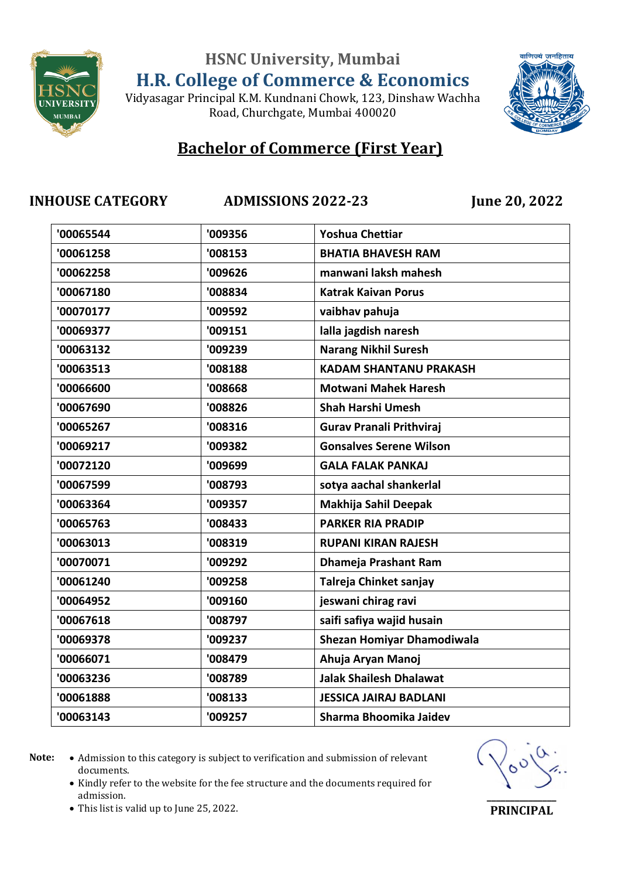

Vidyasagar Principal K.M. Kundnani Chowk, 123, Dinshaw Wachha Road, Churchgate, Mumbai 400020



## **Bachelor of Commerce (First Year)**

**INHOUSE CATEGORY ADMISSIONS 2022-23 June 20, 2022**

| '00065544 | '009356 | <b>Yoshua Chettiar</b>          |
|-----------|---------|---------------------------------|
| '00061258 | '008153 | <b>BHATIA BHAVESH RAM</b>       |
| '00062258 | '009626 | manwani laksh mahesh            |
| '00067180 | '008834 | <b>Katrak Kaivan Porus</b>      |
| '00070177 | '009592 | vaibhav pahuja                  |
| '00069377 | '009151 | lalla jagdish naresh            |
| '00063132 | '009239 | <b>Narang Nikhil Suresh</b>     |
| '00063513 | '008188 | <b>KADAM SHANTANU PRAKASH</b>   |
| '00066600 | '008668 | <b>Motwani Mahek Haresh</b>     |
| '00067690 | '008826 | <b>Shah Harshi Umesh</b>        |
| '00065267 | '008316 | <b>Gurav Pranali Prithviraj</b> |
| '00069217 | '009382 | <b>Gonsalves Serene Wilson</b>  |
| '00072120 | '009699 | <b>GALA FALAK PANKAJ</b>        |
| '00067599 | '008793 | sotya aachal shankerlal         |
| '00063364 | '009357 | Makhija Sahil Deepak            |
| '00065763 | '008433 | <b>PARKER RIA PRADIP</b>        |
| '00063013 | '008319 | <b>RUPANI KIRAN RAJESH</b>      |
| '00070071 | '009292 | Dhameja Prashant Ram            |
| '00061240 | '009258 | Talreja Chinket sanjay          |
| '00064952 | '009160 | jeswani chirag ravi             |
| '00067618 | '008797 | saifi safiya wajid husain       |
| '00069378 | '009237 | Shezan Homiyar Dhamodiwala      |
| '00066071 | '008479 | Ahuja Aryan Manoj               |
| '00063236 | '008789 | <b>Jalak Shailesh Dhalawat</b>  |
| '00061888 | '008133 | <b>JESSICA JAIRAJ BADLANI</b>   |
| '00063143 | '009257 | Sharma Bhoomika Jaidev          |
|           |         |                                 |

- Note:  $\bullet$  Admission to this category is subject to verification and submission of relevant documents.
	- Kindly refer to the website for the fee structure and the documents required for admission.



This list is valid up to June 25, 2022.

**\_\_\_\_\_\_\_\_\_\_\_\_\_\_\_ PRINCIPAL**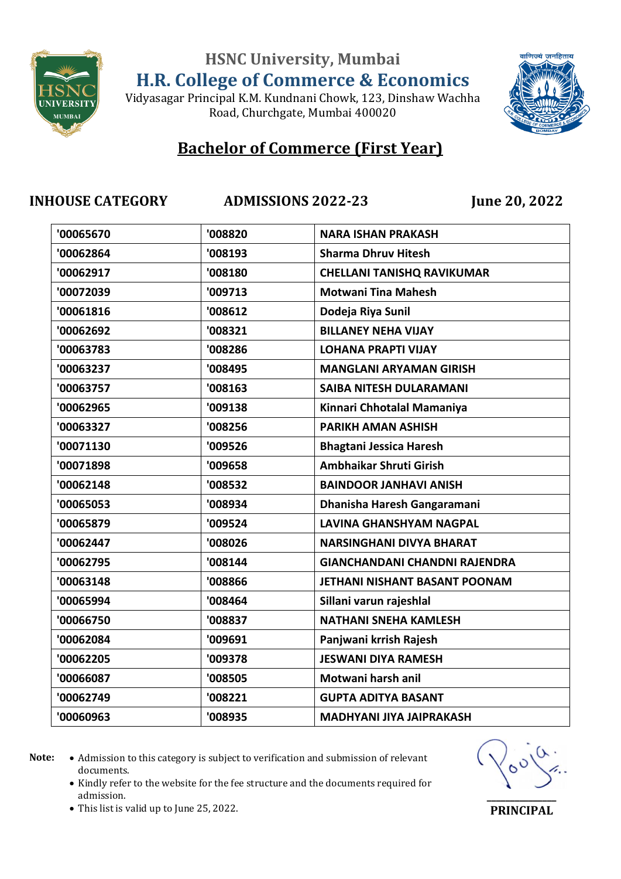

Vidyasagar Principal K.M. Kundnani Chowk, 123, Dinshaw Wachha Road, Churchgate, Mumbai 400020



## **Bachelor of Commerce (First Year)**

**INHOUSE CATEGORY ADMISSIONS 2022-23 June 20, 2022**

| '00065670 | '008820 | <b>NARA ISHAN PRAKASH</b>            |
|-----------|---------|--------------------------------------|
| '00062864 | '008193 | <b>Sharma Dhruv Hitesh</b>           |
| '00062917 | '008180 | <b>CHELLANI TANISHQ RAVIKUMAR</b>    |
| '00072039 | '009713 | <b>Motwani Tina Mahesh</b>           |
| '00061816 | '008612 | Dodeja Riya Sunil                    |
| '00062692 | '008321 | <b>BILLANEY NEHA VIJAY</b>           |
| '00063783 | '008286 | <b>LOHANA PRAPTI VIJAY</b>           |
| '00063237 | '008495 | <b>MANGLANI ARYAMAN GIRISH</b>       |
| '00063757 | '008163 | <b>SAIBA NITESH DULARAMANI</b>       |
| '00062965 | '009138 | Kinnari Chhotalal Mamaniya           |
| '00063327 | '008256 | <b>PARIKH AMAN ASHISH</b>            |
| '00071130 | '009526 | <b>Bhagtani Jessica Haresh</b>       |
| '00071898 | '009658 | Ambhaikar Shruti Girish              |
| '00062148 | '008532 | <b>BAINDOOR JANHAVI ANISH</b>        |
| '00065053 | '008934 | Dhanisha Haresh Gangaramani          |
| '00065879 | '009524 | <b>LAVINA GHANSHYAM NAGPAL</b>       |
| '00062447 | '008026 | <b>NARSINGHANI DIVYA BHARAT</b>      |
| '00062795 | '008144 | <b>GIANCHANDANI CHANDNI RAJENDRA</b> |
| '00063148 | '008866 | JETHANI NISHANT BASANT POONAM        |
| '00065994 | '008464 | Sillani varun rajeshlal              |
| '00066750 | '008837 | <b>NATHANI SNEHA KAMLESH</b>         |
| '00062084 | '009691 | Panjwani krrish Rajesh               |
| '00062205 | '009378 | <b>JESWANI DIYA RAMESH</b>           |
| '00066087 | '008505 | Motwani harsh anil                   |
| '00062749 | '008221 | <b>GUPTA ADITYA BASANT</b>           |
| '00060963 | '008935 | <b>MADHYANI JIYA JAIPRAKASH</b>      |
|           |         |                                      |

Note:  $\bullet$  Admission to this category is subject to verification and submission of relevant documents.

• Kindly refer to the website for the fee structure and the documents required for admission.



This list is valid up to June 25, 2022.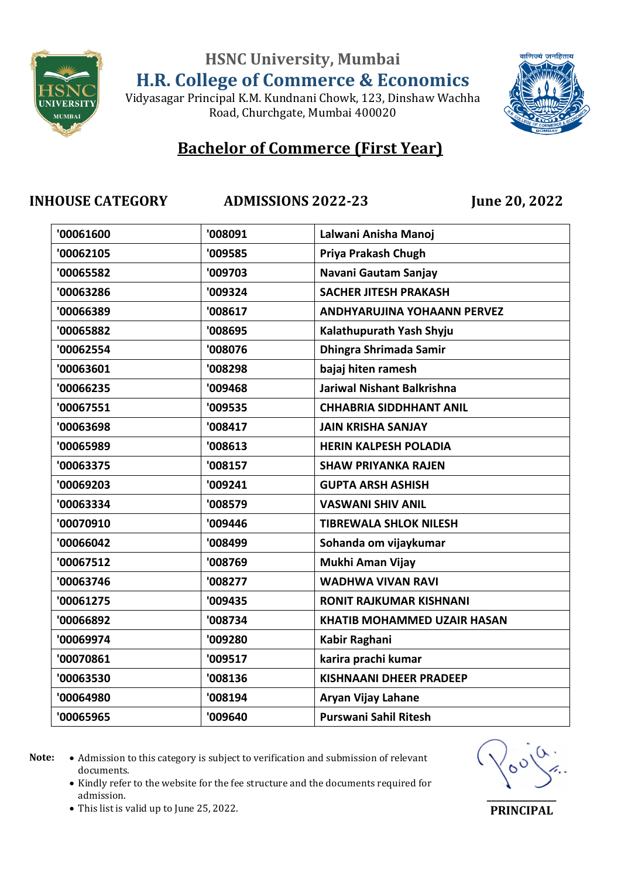

Vidyasagar Principal K.M. Kundnani Chowk, 123, Dinshaw Wachha Road, Churchgate, Mumbai 400020



## **Bachelor of Commerce (First Year)**

**INHOUSE CATEGORY ADMISSIONS 2022-23 June 20, 2022**

| '00061600 | '008091 | Lalwani Anisha Manoj               |
|-----------|---------|------------------------------------|
| '00062105 | '009585 | Priya Prakash Chugh                |
| '00065582 | '009703 | Navani Gautam Sanjay               |
| '00063286 | '009324 | <b>SACHER JITESH PRAKASH</b>       |
| '00066389 | '008617 | <b>ANDHYARUJINA YOHAANN PERVEZ</b> |
| '00065882 | '008695 | Kalathupurath Yash Shyju           |
| '00062554 | '008076 | Dhingra Shrimada Samir             |
| '00063601 | '008298 | bajaj hiten ramesh                 |
| '00066235 | '009468 | <b>Jariwal Nishant Balkrishna</b>  |
| '00067551 | '009535 | <b>CHHABRIA SIDDHHANT ANIL</b>     |
| '00063698 | '008417 | <b>JAIN KRISHA SANJAY</b>          |
| '00065989 | '008613 | <b>HERIN KALPESH POLADIA</b>       |
| '00063375 | '008157 | <b>SHAW PRIYANKA RAJEN</b>         |
| '00069203 | '009241 | <b>GUPTA ARSH ASHISH</b>           |
| '00063334 | '008579 | <b>VASWANI SHIV ANIL</b>           |
| '00070910 | '009446 | <b>TIBREWALA SHLOK NILESH</b>      |
| '00066042 | '008499 | Sohanda om vijaykumar              |
| '00067512 | '008769 | Mukhi Aman Vijay                   |
| '00063746 | '008277 | <b>WADHWA VIVAN RAVI</b>           |
| '00061275 | '009435 | <b>RONIT RAJKUMAR KISHNANI</b>     |
| '00066892 | '008734 | <b>KHATIB MOHAMMED UZAIR HASAN</b> |
| '00069974 | '009280 | Kabir Raghani                      |
| '00070861 | '009517 | karira prachi kumar                |
| '00063530 | '008136 | <b>KISHNAANI DHEER PRADEEP</b>     |
| '00064980 | '008194 | <b>Aryan Vijay Lahane</b>          |
| '00065965 | '009640 | <b>Purswani Sahil Ritesh</b>       |
|           |         |                                    |

- Note:  $\bullet$  Admission to this category is subject to verification and submission of relevant documents.
	- Kindly refer to the website for the fee structure and the documents required for admission.



This list is valid up to June 25, 2022.